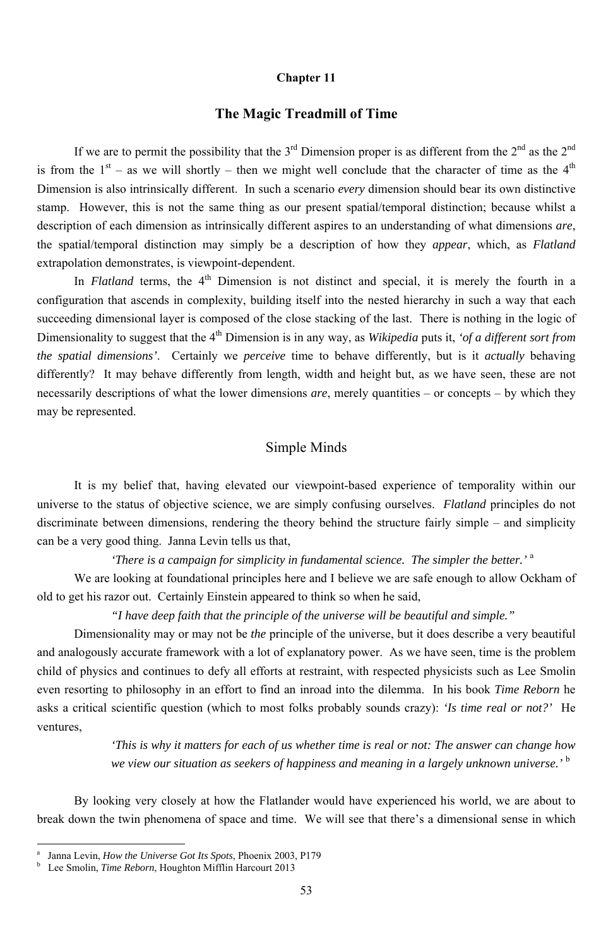#### **Chapter 11**

### **The Magic Treadmill of Time**

If we are to permit the possibility that the  $3^{rd}$  Dimension proper is as different from the  $2^{nd}$  as the  $2^{nd}$ is from the  $1<sup>st</sup>$  – as we will shortly – then we might well conclude that the character of time as the  $4<sup>th</sup>$ Dimension is also intrinsically different. In such a scenario *every* dimension should bear its own distinctive stamp. However, this is not the same thing as our present spatial/temporal distinction; because whilst a description of each dimension as intrinsically different aspires to an understanding of what dimensions *are*, the spatial/temporal distinction may simply be a description of how they *appear*, which, as *Flatland* extrapolation demonstrates, is viewpoint-dependent.

In *Flatland* terms, the 4<sup>th</sup> Dimension is not distinct and special, it is merely the fourth in a configuration that ascends in complexity, building itself into the nested hierarchy in such a way that each succeeding dimensional layer is composed of the close stacking of the last. There is nothing in the logic of Dimensionality to suggest that the 4<sup>th</sup> Dimension is in any way, as *Wikipedia* puts it, *'of a different sort from the spatial dimensions'*. Certainly we *perceive* time to behave differently, but is it *actually* behaving differently? It may behave differently from length, width and height but, as we have seen, these are not necessarily descriptions of what the lower dimensions *are*, merely quantities – or concepts – by which they may be represented.

### Simple Minds

It is my belief that, having elevated our viewpoint-based experience of temporality within our universe to the status of objective science, we are simply confusing ourselves. *Flatland* principles do not discriminate between dimensions, rendering the theory behind the structure fairly simple – and simplicity can be a very good thing. Janna Levin tells us that,

*'There is a campaign for simplicity in fundamental science. The simpler the better.'*<sup>a</sup>

We are looking at foundational principles here and I believe we are safe enough to allow Ockham of old to get his razor out. Certainly Einstein appeared to think so when he said,

*"I have deep faith that the principle of the universe will be beautiful and simple."* 

Dimensionality may or may not be *the* principle of the universe, but it does describe a very beautiful and analogously accurate framework with a lot of explanatory power. As we have seen, time is the problem child of physics and continues to defy all efforts at restraint, with respected physicists such as Lee Smolin even resorting to philosophy in an effort to find an inroad into the dilemma. In his book *Time Reborn* he

asks a critical scientific question (which to most folks probably sounds crazy): *'Is time real or not?'* He ventures,

> *'This is why it matters for each of us whether time is real or not: The answer can change how we view our situation as seekers of happiness and meaning in a largely unknown universe.'* <sup>b</sup>

By looking very closely at how the Flatlander would have experienced his world, we are about to break down the twin phenomena of space and time. We will see that there's a dimensional sense in which

-

<sup>53</sup>

a Janna Levin, *How the Universe Got Its Spots*, Phoenix 2003, P179

b Lee Smolin, *Time Reborn*, Houghton Mifflin Harcourt 2013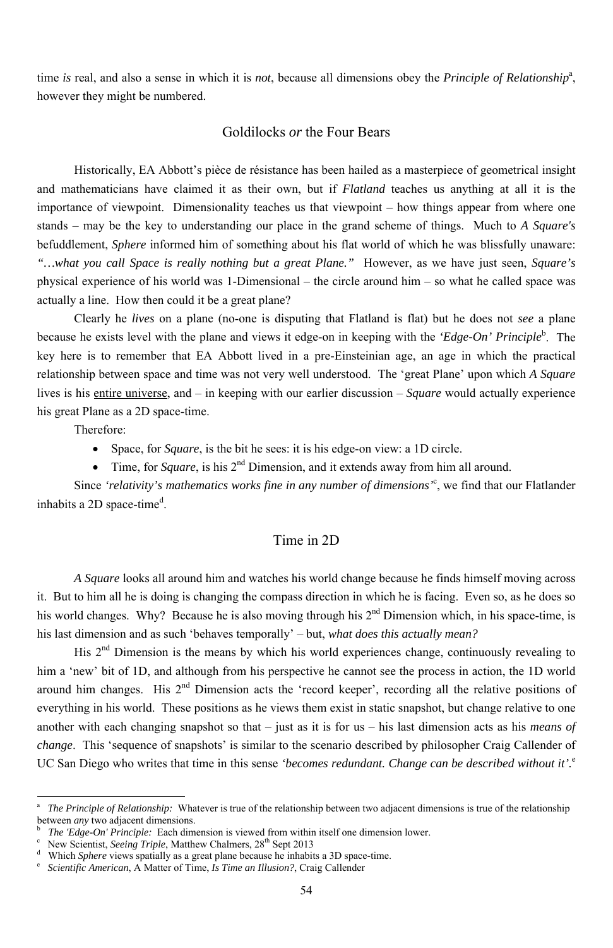time *is* real, and also a sense in which it is *not*, because all dimensions obey the *Principle of Relationship<sup>a</sup>*, however they might be numbered.

#### Goldilocks *or* the Four Bears

Historically, EA Abbott's pièce de résistance has been hailed as a masterpiece of geometrical insight and mathematicians have claimed it as their own, but if *Flatland* teaches us anything at all it is the importance of viewpoint. Dimensionality teaches us that viewpoint – how things appear from where one stands – may be the key to understanding our place in the grand scheme of things. Much to *A Square's* befuddlement, *Sphere* informed him of something about his flat world of which he was blissfully unaware: *"…what you call Space is really nothing but a great Plane."* However, as we have just seen, *Square's* physical experience of his world was 1-Dimensional – the circle around him – so what he called space was actually a line. How then could it be a great plane?

- Space, for *Square*, is the bit he sees: it is his edge-on view: a 1D circle.
- Time, for *Square*, is his 2<sup>nd</sup> Dimension, and it extends away from him all around.

Since *'relativity's mathematics works fine in any number of dimensions*<sup>'</sup>, we find that our Flatlander inhabits a 2D space-time<sup>d</sup>.

Clearly he *lives* on a plane (no-one is disputing that Flatland is flat) but he does not *see* a plane because he exists level with the plane and views it edge-on in keeping with the *'Edge-On' Principle*<sup>b</sup>. The key here is to remember that EA Abbott lived in a pre-Einsteinian age, an age in which the practical relationship between space and time was not very well understood. The 'great Plane' upon which *A Square* lives is his entire universe, and – in keeping with our earlier discussion – *Square* would actually experience his great Plane as a 2D space-time.

everything in his world. These positions as he views them exist in static snapshot, but change relative to one another with each changing snapshot so that – just as it is for us – his last dimension acts as his *means of change*. This 'sequence of snapshots' is similar to the scenario described by philosopher Craig Callender of UC San Diego who writes that time in this sense *'becomes redundant. Change can be described without it'*.<sup>e</sup>

Therefore:

<sup>-</sup>

### Time in 2D

*A Square* looks all around him and watches his world change because he finds himself moving across it. But to him all he is doing is changing the compass direction in which he is facing. Even so, as he does so his world changes. Why? Because he is also moving through his  $2<sup>nd</sup>$  Dimension which, in his space-time, is his last dimension and as such 'behaves temporally' – but, *what does this actually mean?*

His 2<sup>nd</sup> Dimension is the means by which his world experiences change, continuously revealing to him a 'new' bit of 1D, and although from his perspective he cannot see the process in action, the 1D world around him changes. His 2<sup>nd</sup> Dimension acts the 'record keeper', recording all the relative positions of

- b <sup>b</sup> The 'Edge-On' Principle: Each dimension is viewed from within itself one dimension lower.<br><sup>c</sup> New Scientist *Seeing Triple* Matthew Chalmers 28<sup>th</sup> Sent 2013
- New Scientist, *Seeing Triple*, Matthew Chalmers, 28<sup>th</sup> Sept 2013
- d Which *Sphere* views spatially as a great plane because he inhabits a 3D space-time.<br>
<u>Experience A Matter of Time</u> Is Time an Illusion? Craig Callender
- *Scientific American*, A Matter of Time, *Is Time an Illusion?*, Craig Callender

a *The Principle of Relationship:* Whatever is true of the relationship between two adjacent dimensions is true of the relationship between *any* two adjacent dimensions.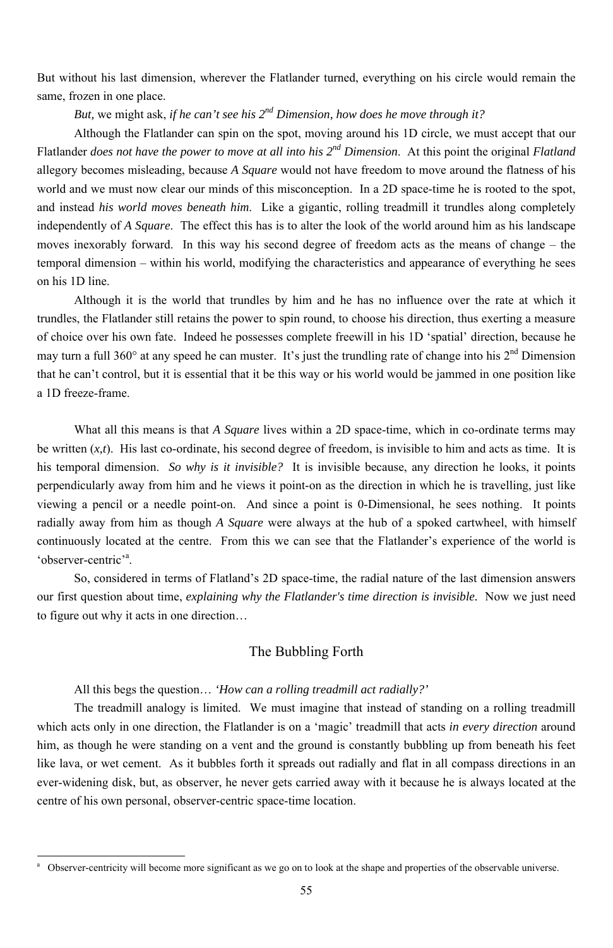But without his last dimension, wherever the Flatlander turned, everything on his circle would remain the same, frozen in one place.

*But, we might ask, if he can't see his*  $2^{nd}$  *Dimension, how does he move through it?* 

Although the Flatlander can spin on the spot, moving around his 1D circle, we must accept that our Flatlander *does not have the power to move at all into his 2nd Dimension*. At this point the original *Flatland* allegory becomes misleading, because *A Square* would not have freedom to move around the flatness of his world and we must now clear our minds of this misconception. In a 2D space-time he is rooted to the spot, and instead *his world moves beneath him*. Like a gigantic, rolling treadmill it trundles along completely independently of *A Square*. The effect this has is to alter the look of the world around him as his landscape moves inexorably forward. In this way his second degree of freedom acts as the means of change – the temporal dimension – within his world, modifying the characteristics and appearance of everything he sees on his 1D line.

What all this means is that *A Square* lives within a 2D space-time, which in co-ordinate terms may be written (*x,t*). His last co-ordinate, his second degree of freedom, is invisible to him and acts as time. It is his temporal dimension. *So why is it invisible?* It is invisible because, any direction he looks, it points perpendicularly away from him and he views it point-on as the direction in which he is travelling, just like viewing a pencil or a needle point-on. And since a point is 0-Dimensional, he sees nothing. It points radially away from him as though *A Square* were always at the hub of a spoked cartwheel, with himself continuously located at the centre. From this we can see that the Flatlander's experience of the world is 'observer-centric'<sup>a</sup>.

Although it is the world that trundles by him and he has no influence over the rate at which it trundles, the Flatlander still retains the power to spin round, to choose his direction, thus exerting a measure of choice over his own fate. Indeed he possesses complete freewill in his 1D 'spatial' direction, because he may turn a full 360 $\degree$  at any speed he can muster. It's just the trundling rate of change into his  $2^{nd}$  Dimension that he can't control, but it is essential that it be this way or his world would be jammed in one position like a 1D freeze-frame.

So, considered in terms of Flatland's 2D space-time, the radial nature of the last dimension answers our first question about time, *explaining why the Flatlander's time direction is invisible.* Now we just need to figure out why it acts in one direction…

## The Bubbling Forth

All this begs the question… *'How can a rolling treadmill act radially?'* 

-

The treadmill analogy is limited. We must imagine that instead of standing on a rolling treadmill which acts only in one direction, the Flatlander is on a 'magic' treadmill that acts *in every direction* around him, as though he were standing on a vent and the ground is constantly bubbling up from beneath his feet like lava, or wet cement. As it bubbles forth it spreads out radially and flat in all compass directions in an ever-widening disk, but, as observer, he never gets carried away with it because he is always located at the centre of his own personal, observer-centric space-time location.

<sup>55</sup>

a Observer-centricity will become more significant as we go on to look at the shape and properties of the observable universe.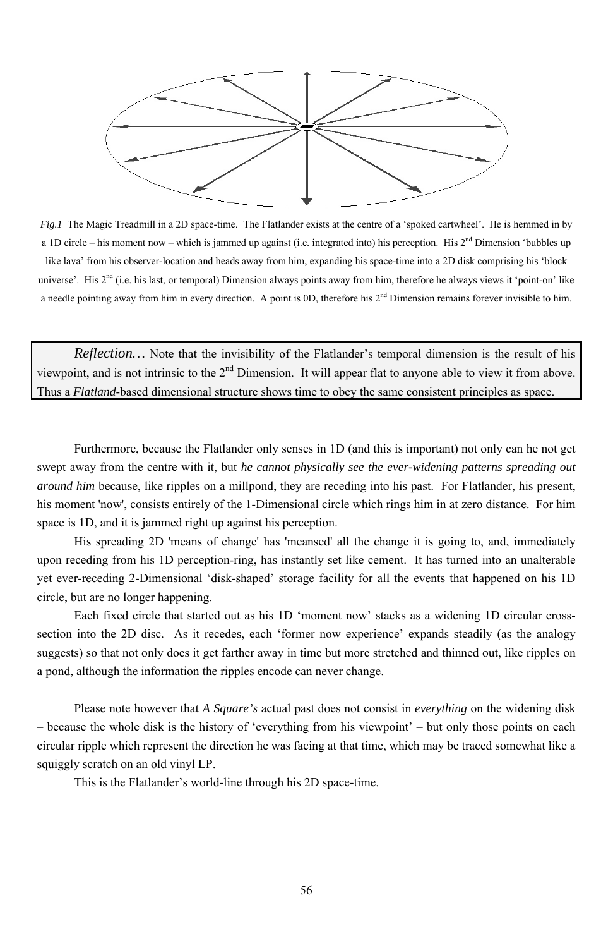

*Fig.1* The Magic Treadmill in a 2D space-time. The Flatlander exists at the centre of a 'spoked cartwheel'. He is hemmed in by a 1D circle – his moment now – which is jammed up against (i.e. integrated into) his perception. His  $2<sup>nd</sup>$  Dimension 'bubbles up like lava' from his observer-location and heads away from him, expanding his space-time into a 2D disk comprising his 'block universe'. His 2<sup>nd</sup> (i.e. his last, or temporal) Dimension always points away from him, therefore he always views it 'point-on' like a needle pointing away from him in every direction. A point is 0D, therefore his 2<sup>nd</sup> Dimension remains forever invisible to him.

*Reflection…* Note that the invisibility of the Flatlander's temporal dimension is the result of his viewpoint, and is not intrinsic to the 2<sup>nd</sup> Dimension. It will appear flat to anyone able to view it from above. Thus a *Flatland*-based dimensional structure shows time to obey the same consistent principles as space.

Furthermore, because the Flatlander only senses in 1D (and this is important) not only can he not get swept away from the centre with it, but *he cannot physically see the ever-widening patterns spreading out around him* because, like ripples on a millpond, they are receding into his past. For Flatlander, his present, his moment 'now', consists entirely of the 1-Dimensional circle which rings him in at zero distance. For him space is 1D, and it is jammed right up against his perception.

His spreading 2D 'means of change' has 'meansed' all the change it is going to, and, immediately upon receding from his 1D perception-ring, has instantly set like cement. It has turned into an unalterable yet ever-receding 2-Dimensional 'disk-shaped' storage facility for all the events that happened on his 1D circle, but are no longer happening.

Each fixed circle that started out as his 1D 'moment now' stacks as a widening 1D circular crosssection into the 2D disc. As it recedes, each 'former now experience' expands steadily (as the analogy suggests) so that not only does it get farther away in time but more stretched and thinned out, like ripples on a pond, although the information the ripples encode can never change.

Please note however that *A Square's* actual past does not consist in *everything* on the widening disk – because the whole disk is the history of 'everything from his viewpoint' – but only those points on each circular ripple which represent the direction he was facing at that time, which may be traced somewhat like a squiggly scratch on an old vinyl LP.

This is the Flatlander's world-line through his 2D space-time.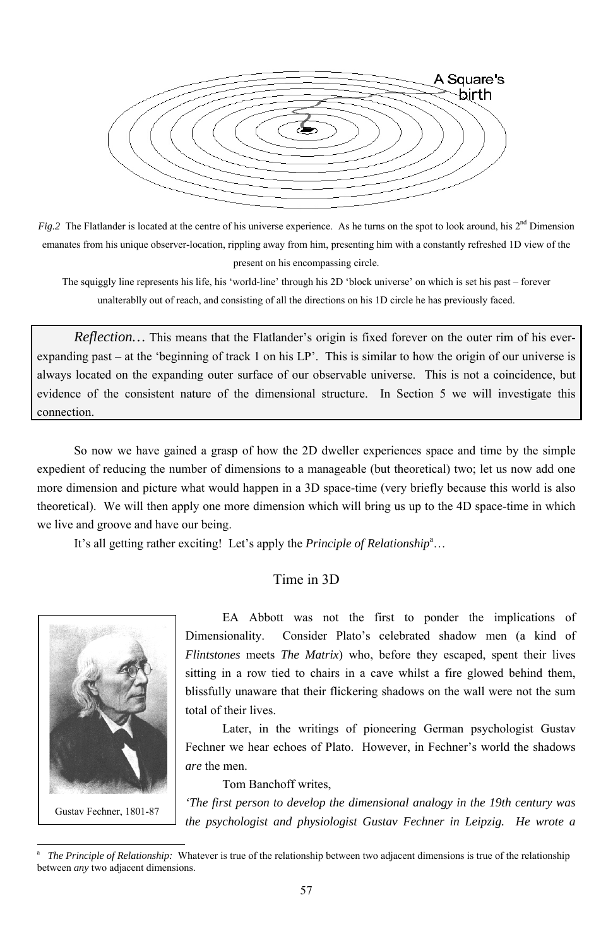

*Fig.2* The Flatlander is located at the centre of his universe experience. As he turns on the spot to look around, his 2<sup>nd</sup> Dimension emanates from his unique observer-location, rippling away from him, presenting him with a constantly refreshed 1D view of the present on his encompassing circle.

The squiggly line represents his life, his 'world-line' through his 2D 'block universe' on which is set his past – forever unalterablly out of reach, and consisting of all the directions on his 1D circle he has previously faced.

*Reflection…* This means that the Flatlander's origin is fixed forever on the outer rim of his everexpanding past – at the 'beginning of track 1 on his LP'. This is similar to how the origin of our universe is always located on the expanding outer surface of our observable universe. This is not a coincidence, but evidence of the consistent nature of the dimensional structure. In Section 5 we will investigate this connection.

So now we have gained a grasp of how the 2D dweller experiences space and time by the simple expedient of reducing the number of dimensions to a manageable (but theoretical) two; let us now add one more dimension and picture what would happen in a 3D space-time (very briefly because this world is also theoretical). We will then apply one more dimension which will bring us up to the 4D space-time in which we live and groove and have our being.

It's all getting rather exciting! Let's apply the *Principle of Relationship*<sup>a</sup>...

# Time in 3D

EA Abbott was not the first to ponder the implications of Dimensionality. Consider Plato's celebrated shadow men (a kind of *Flintstones* meets *The Matrix*) who, before they escaped, spent their lives sitting in a row tied to chairs in a cave whilst a fire glowed behind them, blissfully unaware that their flickering shadows on the wall were not the sum

total of their lives.

Later, in the writings of pioneering German psychologist Gustav Fechner we hear echoes of Plato. However, in Fechner's world the shadows *are* the men.

Tom Banchoff writes,

*'The first person to develop the dimensional analogy in the 19th century was the psychologist and physiologist Gustav Fechner in Leipzig. He wrote a* 



<sup>57</sup>

<sup>—&</sup>lt;br>a <sup>a</sup> The Principle of Relationship: Whatever is true of the relationship between two adjacent dimensions is true of the relationship between *any* two adjacent dimensions.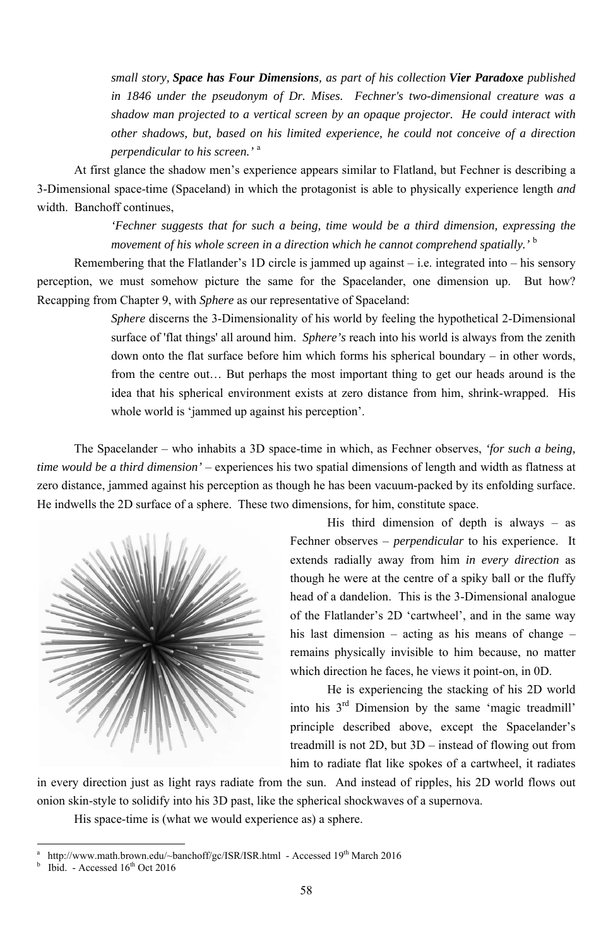*small story, Space has Four Dimensions, as part of his collection Vier Paradoxe published in 1846 under the pseudonym of Dr. Mises. Fechner's two-dimensional creature was a shadow man projected to a vertical screen by an opaque projector. He could interact with other shadows, but, based on his limited experience, he could not conceive of a direction perpendicular to his screen.'* <sup>a</sup>

*'Fechner suggests that for such a being, time would be a third dimension, expressing the movement of his whole screen in a direction which he cannot comprehend spatially.*<sup>*b*</sup>

At first glance the shadow men's experience appears similar to Flatland, but Fechner is describing a 3-Dimensional space-time (Spaceland) in which the protagonist is able to physically experience length *and* width. Banchoff continues,

> *Sphere* discerns the 3-Dimensionality of his world by feeling the hypothetical 2-Dimensional surface of 'flat things' all around him. *Sphere's* reach into his world is always from the zenith down onto the flat surface before him which forms his spherical boundary – in other words, from the centre out… But perhaps the most important thing to get our heads around is the idea that his spherical environment exists at zero distance from him, shrink-wrapped. His whole world is 'jammed up against his perception'.

Remembering that the Flatlander's 1D circle is jammed up against – i.e. integrated into – his sensory perception, we must somehow picture the same for the Spacelander, one dimension up. But how? Recapping from Chapter 9, with *Sphere* as our representative of Spaceland:

> His third dimension of depth is always  $-$  as Fechner observes – *perpendicular* to his experience. It extends radially away from him *in every direction* as though he were at the centre of a spiky ball or the fluffy head of a dandelion. This is the 3-Dimensional analogue of the Flatlander's 2D 'cartwheel', and in the same way his last dimension – acting as his means of change – remains physically invisible to him because, no matter which direction he faces, he views it point-on, in 0D.

> into his  $3<sup>rd</sup>$  Dimension by the same 'magic treadmill' principle described above, except the Spacelander's treadmill is not 2D, but 3D – instead of flowing out from him to radiate flat like spokes of a cartwheel, it radiates

The Spacelander – who inhabits a 3D space-time in which, as Fechner observes, *'for such a being, time would be a third dimension'* – experiences his two spatial dimensions of length and width as flatness at zero distance, jammed against his perception as though he has been vacuum-packed by its enfolding surface. He indwells the 2D surface of a sphere. These two dimensions, for him, constitute space.



-

He is experiencing the stacking of his 2D world

in every direction just as light rays radiate from the sun. And instead of ripples, his 2D world flows out onion skin-style to solidify into his 3D past, like the spherical shockwaves of a supernova. His space-time is (what we would experience as) a sphere.

a http://www.math.brown.edu/~banchoff/gc/ISR/ISR.html - Accessed 19<sup>th</sup> March 2016 b Ibid. - Accessed 16<sup>th</sup> Oct 2016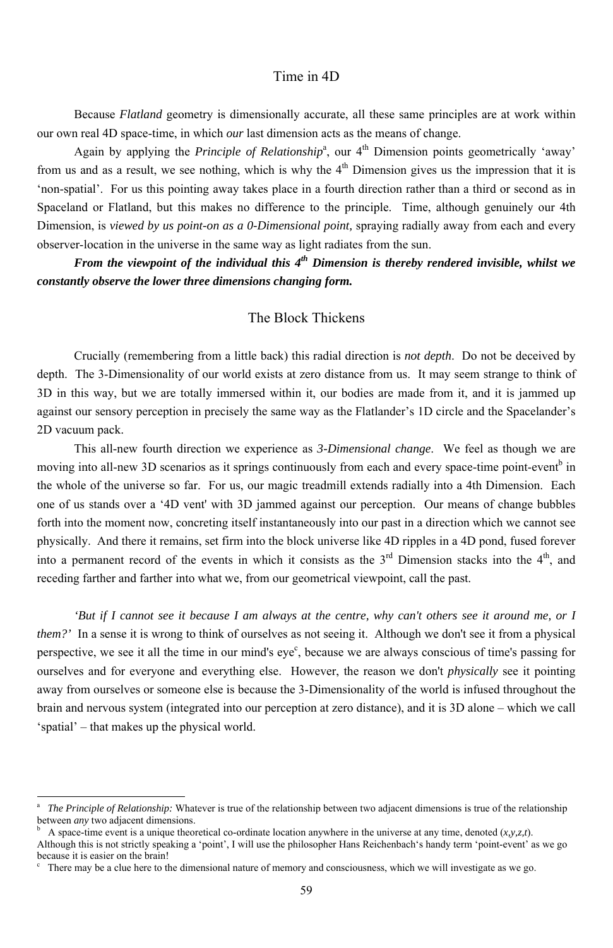### Time in 4D

Because *Flatland* geometry is dimensionally accurate, all these same principles are at work within our own real 4D space-time, in which *our* last dimension acts as the means of change.

Again by applying the *Principle of Relationship*<sup>a</sup>, our 4<sup>th</sup> Dimension points geometrically 'away' from us and as a result, we see nothing, which is why the  $4<sup>th</sup>$  Dimension gives us the impression that it is 'non-spatial'. For us this pointing away takes place in a fourth direction rather than a third or second as in Spaceland or Flatland, but this makes no difference to the principle. Time, although genuinely our 4th Dimension, is *viewed by us point-on as a 0-Dimensional point*, spraying radially away from each and every observer-location in the universe in the same way as light radiates from the sun.

*From the viewpoint of the individual this 4<sup>th</sup> Dimension is thereby rendered invisible, whilst we constantly observe the lower three dimensions changing form.* 

### The Block Thickens

Crucially (remembering from a little back) this radial direction is *not depth*. Do not be deceived by depth. The 3-Dimensionality of our world exists at zero distance from us. It may seem strange to think of 3D in this way, but we are totally immersed within it, our bodies are made from it, and it is jammed up against our sensory perception in precisely the same way as the Flatlander's 1D circle and the Spacelander's 2D vacuum pack.

This all-new fourth direction we experience as *3-Dimensional change*. We feel as though we are moving into all-new 3D scenarios as it springs continuously from each and every space-time point-event  $\phi$  in the whole of the universe so far. For us, our magic treadmill extends radially into a 4th Dimension. Each one of us stands over a '4D vent' with 3D jammed against our perception. Our means of change bubbles forth into the moment now, concreting itself instantaneously into our past in a direction which we cannot see physically. And there it remains, set firm into the block universe like 4D ripples in a 4D pond, fused forever into a permanent record of the events in which it consists as the  $3<sup>rd</sup>$  Dimension stacks into the  $4<sup>th</sup>$ , and receding farther and farther into what we, from our geometrical viewpoint, call the past.

*'But if I cannot see it because I am always at the centre, why can't others see it around me, or I them?'* In a sense it is wrong to think of ourselves as not seeing it. Although we don't see it from a physical perspective, we see it all the time in our mind's eye<sup>c</sup>, because we are always conscious of time's passing for ourselves and for everyone and everything else. However, the reason we don't *physically* see it pointing away from ourselves or someone else is because the 3-Dimensionality of the world is infused throughout the

brain and nervous system (integrated into our perception at zero distance), and it is 3D alone – which we call 'spatial' – that makes up the physical world.

b A space-time event is a unique theoretical co-ordinate location anywhere in the universe at any time, denoted (*x,y,z,t*). Although this is not strictly speaking a 'point', I will use the philosopher Hans Reichenbach's handy term 'point-event' as we go because it is easier on the brain!

c There may be a clue here to the dimensional nature of memory and consciousness, which we will investigate as we go.

<sup>&</sup>lt;sup>-</sup> a *The Principle of Relationship:* Whatever is true of the relationship between two adjacent dimensions is true of the relationship between *any* two adjacent dimensions.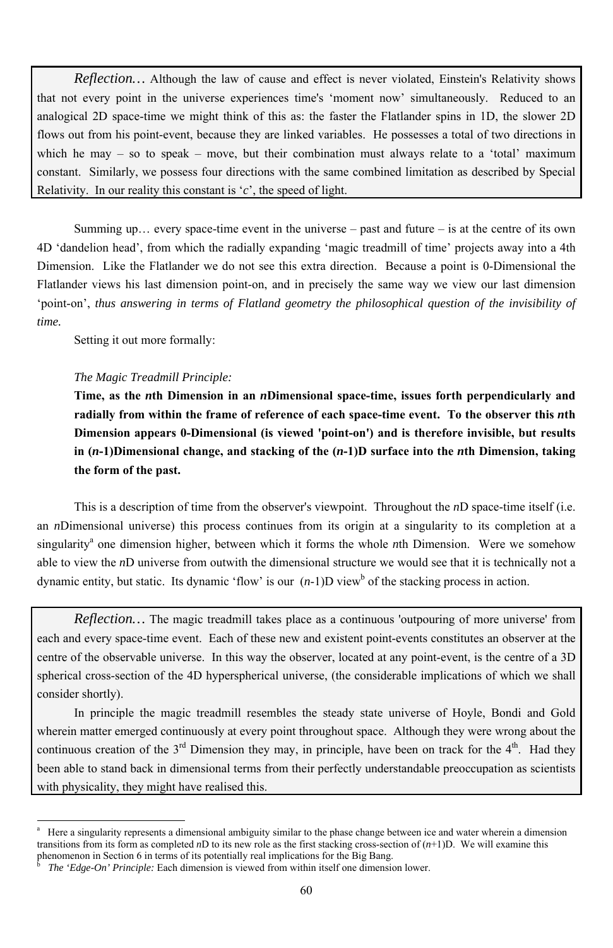*Reflection…* Although the law of cause and effect is never violated, Einstein's Relativity shows that not every point in the universe experiences time's 'moment now' simultaneously. Reduced to an analogical 2D space-time we might think of this as: the faster the Flatlander spins in 1D, the slower 2D flows out from his point-event, because they are linked variables. He possesses a total of two directions in which he may – so to speak – move, but their combination must always relate to a 'total' maximum constant. Similarly, we possess four directions with the same combined limitation as described by Special Relativity. In our reality this constant is '*c*', the speed of light.

Summing up... every space-time event in the universe – past and future – is at the centre of its own 4D 'dandelion head', from which the radially expanding 'magic treadmill of time' projects away into a 4th Dimension. Like the Flatlander we do not see this extra direction. Because a point is 0-Dimensional the Flatlander views his last dimension point-on, and in precisely the same way we view our last dimension 'point-on', *thus answering in terms of Flatland geometry the philosophical question of the invisibility of time.*

This is a description of time from the observer's viewpoint. Throughout the *n*D space-time itself (i.e. an *n*Dimensional universe) this process continues from its origin at a singularity to its completion at a singularity<sup>a</sup> one dimension higher, between which it forms the whole *n*th Dimension. Were we somehow able to view the *n*D universe from outwith the dimensional structure we would see that it is technically not a dynamic entity, but static. Its dynamic 'flow' is our  $(n-1)D$  view<sup>b</sup> of the stacking process in action.

Setting it out more formally:

-

#### *The Magic Treadmill Principle:*

**Time, as the** *n***th Dimension in an** *n***Dimensional space-time, issues forth perpendicularly and radially from within the frame of reference of each space-time event. To the observer this** *n***th Dimension appears 0-Dimensional (is viewed 'point-on') and is therefore invisible, but results in (***n***-1)Dimensional change, and stacking of the (***n***-1)D surface into the** *n***th Dimension, taking the form of the past.** 

*Reflection…* The magic treadmill takes place as a continuous 'outpouring of more universe' from each and every space-time event. Each of these new and existent point-events constitutes an observer at the centre of the observable universe. In this way the observer, located at any point-event, is the centre of a 3D spherical cross-section of the 4D hyperspherical universe, (the considerable implications of which we shall consider shortly).

In principle the magic treadmill resembles the steady state universe of Hoyle, Bondi and Gold wherein matter emerged continuously at every point throughout space. Although they were wrong about the continuous creation of the  $3<sup>rd</sup>$  Dimension they may, in principle, have been on track for the  $4<sup>th</sup>$ . Had they been able to stand back in dimensional terms from their perfectly understandable preoccupation as scientists with physicality, they might have realised this.

<sup>60</sup>

a Here a singularity represents a dimensional ambiguity similar to the phase change between ice and water wherein a dimension transitions from its form as completed *n*D to its new role as the first stacking cross-section of (*n*+1)D. We will examine this phenomenon in Section 6 in terms of its potentially real implications for the Big Bang. b *The 'Edge-On' Principle:* Each dimension is viewed from within itself one dimension lower.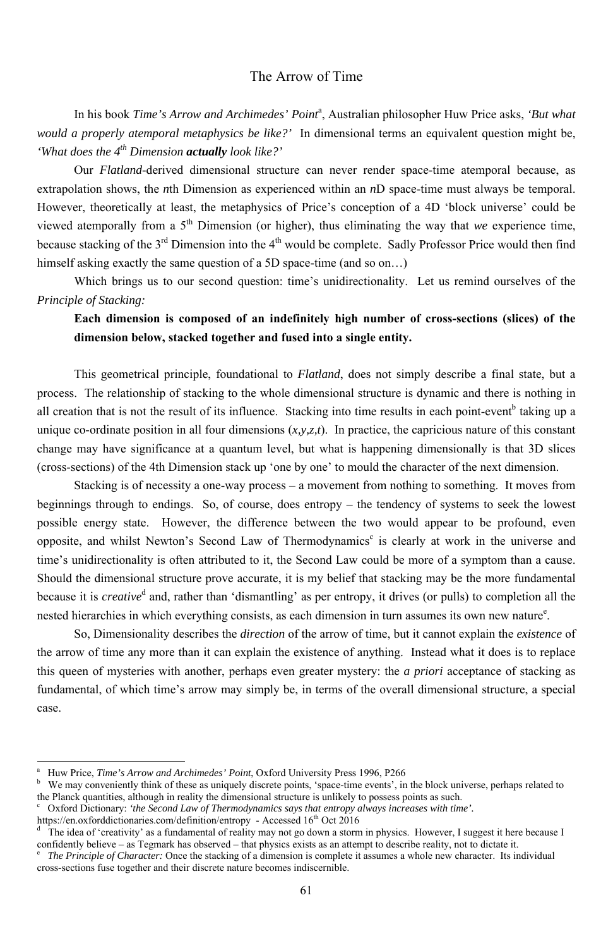### The Arrow of Time

In his book *Time's Arrow and Archimedes' Point<sup>a</sup>*, Australian philosopher Huw Price asks, 'But what *would a properly atemporal metaphysics be like?'* In dimensional terms an equivalent question might be, *'What does the 4th Dimension actually look like?'*

Our *Flatland*-derived dimensional structure can never render space-time atemporal because, as extrapolation shows, the *n*th Dimension as experienced within an *n*D space-time must always be temporal. However, theoretically at least, the metaphysics of Price's conception of a 4D 'block universe' could be viewed atemporally from a  $5<sup>th</sup>$  Dimension (or higher), thus eliminating the way that *we* experience time, because stacking of the  $3^{rd}$  Dimension into the  $4^{th}$  would be complete. Sadly Professor Price would then find himself asking exactly the same question of a 5D space-time (and so on...)

Stacking is of necessity a one-way process – a movement from nothing to something. It moves from beginnings through to endings. So, of course, does entropy – the tendency of systems to seek the lowest possible energy state. However, the difference between the two would appear to be profound, even opposite, and whilst Newton's Second Law of Thermodynamics<sup>c</sup> is clearly at work in the universe and time's unidirectionality is often attributed to it, the Second Law could be more of a symptom than a cause. Should the dimensional structure prove accurate, it is my belief that stacking may be the more fundamental because it is *creative*<sup>d</sup> and, rather than 'dismantling' as per entropy, it drives (or pulls) to completion all the nested hierarchies in which everything consists, as each dimension in turn assumes its own new nature $e^{\epsilon}$ .

Which brings us to our second question: time's unidirectionality. Let us remind ourselves of the *Principle of Stacking:*

# **Each dimension is composed of an indefinitely high number of cross-sections (slices) of the dimension below, stacked together and fused into a single entity.**

This geometrical principle, foundational to *Flatland*, does not simply describe a final state, but a process. The relationship of stacking to the whole dimensional structure is dynamic and there is nothing in all creation that is not the result of its influence. Stacking into time results in each point-event<sup>b</sup> taking up a unique co-ordinate position in all four dimensions (*x,y,z,t*). In practice, the capricious nature of this constant change may have significance at a quantum level, but what is happening dimensionally is that 3D slices (cross-sections) of the 4th Dimension stack up 'one by one' to mould the character of the next dimension.

- a Huw Price, *Time's Arrow and Archimedes' Point*, Oxford University Press 1996, P266
- b We may conveniently think of these as uniquely discrete points, 'space-time events', in the block universe, perhaps related to the Planck quantities, although in reality the dimensional structure is unlikely to possess points as such.<br>Coxford Dictionary: *the Second Law of Thermodynamics says that entropy always increases with tim*
- Oxford Dictionary: *'the Second Law of Thermodynamics says that entropy always increases with time'.* https://en.oxforddictionaries.com/definition/entropy - Accessed  $16<sup>th</sup>$  Oct 2016
- d The idea of 'creativity' as a fundamental of reality may not go down a storm in physics. However, I suggest it here because I confidently believe – as Tegmark has observed – that physics exists as an attempt to describe reality, not to dictate it.<br><sup>e</sup> The Principle of Character: Once the stacking of a dimension is complete it assumes a whole new

So, Dimensionality describes the *direction* of the arrow of time, but it cannot explain the *existence* of the arrow of time any more than it can explain the existence of anything. Instead what it does is to replace this queen of mysteries with another, perhaps even greater mystery: the *a priori* acceptance of stacking as fundamental, of which time's arrow may simply be, in terms of the overall dimensional structure, a special

-

 *The Principle of Character:* Once the stacking of a dimension is complete it assumes a whole new character. Its individual cross-sections fuse together and their discrete nature becomes indiscernible.